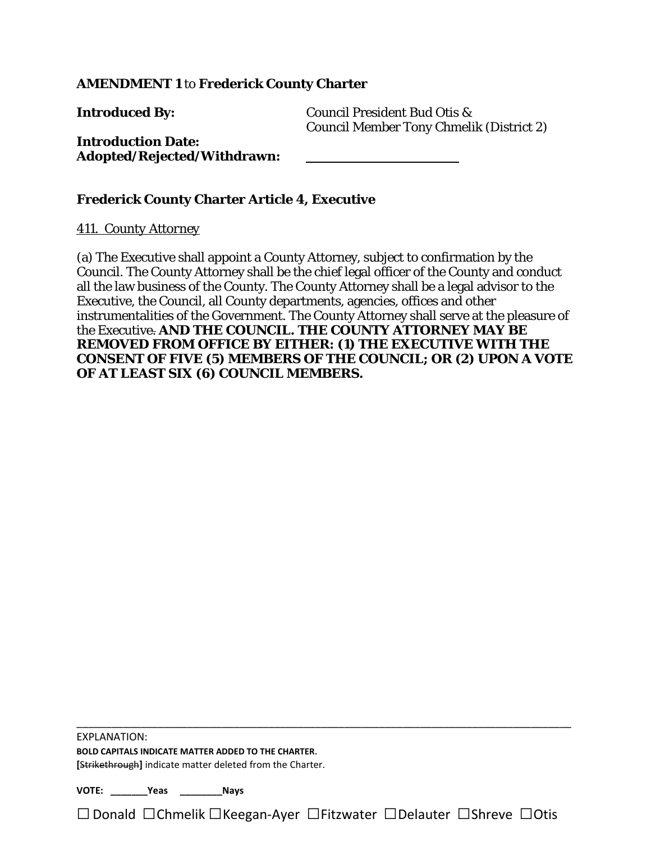## **AMENDMENT 1** to **Frederick County Charter**

**Introduced By:** Council President Bud Otis & Council Member Tony Chmelik (District 2)

## **Introduction Date: Adopted/Rejected/Withdrawn:**

## **Frederick County Charter Article 4, Executive**

#### *411. County Attorney*

(a) The Executive shall appoint a County Attorney, subject to confirmation by the Council. The County Attorney shall be the chief legal officer of the County and conduct all the law business of the County. The County Attorney shall be a legal advisor to the Executive, the Council, all County departments, agencies, offices and other instrumentalities of the Government. The County Attorney shall serve at the pleasure of the Executive. **AND THE COUNCIL. THE COUNTY ATTORNEY MAY BE REMOVED FROM OFFICE BY EITHER: (1) THE EXECUTIVE WITH THE CONSENT OF FIVE (5) MEMBERS OF THE COUNCIL; OR (2) UPON A VOTE OF AT LEAST SIX (6) COUNCIL MEMBERS.**

EXPLANATION:

**BOLD CAPITALS INDICATE MATTER ADDED TO THE CHARTER**. **[**Strikethrough**]** indicate matter deleted from the Charter.

**VOTE: \_\_\_\_\_\_\_Yeas \_\_\_\_\_\_\_\_Nays**

□Donald □Chmelik □Keegan-Ayer □Fitzwater □Delauter □Shreve □Otis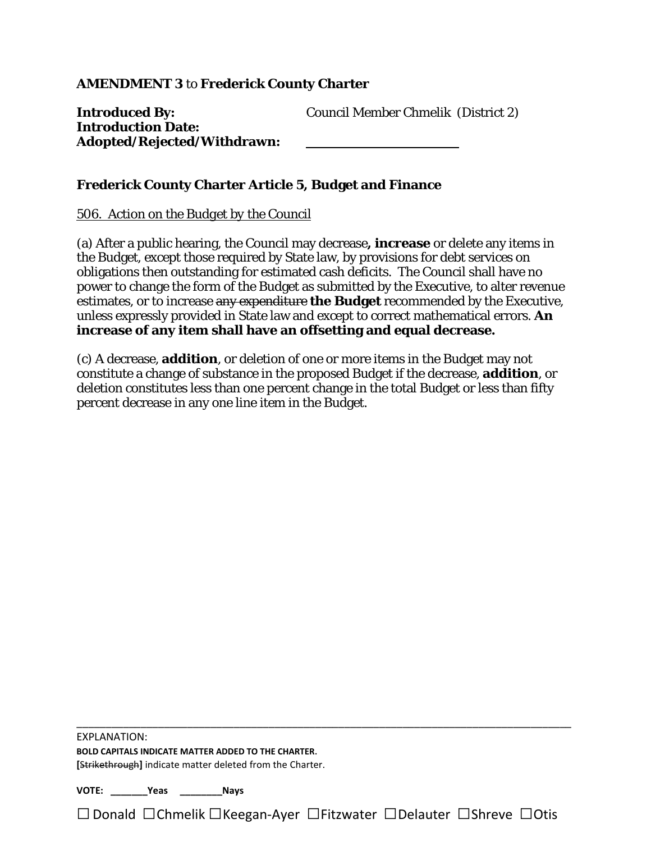## **AMENDMENT 3** to **Frederick County Charter**

| <b>Introduced By:</b>       | <b>Council Member Chmelik (District 2)</b> |  |
|-----------------------------|--------------------------------------------|--|
| <b>Introduction Date:</b>   |                                            |  |
| Adopted/Rejected/Withdrawn: |                                            |  |

## **Frederick County Charter Article 5, Budget and Finance**

## *506. Action on the Budget by the Council*

(a) After a public hearing, the Council may decrease**, increase** or delete any items in the Budget, except those required by State law, by provisions for debt services on obligations then outstanding for estimated cash deficits. The Council shall have no power to change the form of the Budget as submitted by the Executive, to alter revenue estimates, or to increase any expenditure **the Budget** recommended by the Executive, unless expressly provided in State law and except to correct mathematical errors. **An increase of any item shall have an offsetting and equal decrease.**

(c) A decrease, **addition**, or deletion of one or more items in the Budget may not constitute a change of substance in the proposed Budget if the decrease, **addition**, or deletion constitutes less than one percent change in the total Budget or less than fifty percent decrease in any one line item in the Budget.

EXPLANATION:

**BOLD CAPITALS INDICATE MATTER ADDED TO THE CHARTER**. **[**Strikethrough**]** indicate matter deleted from the Charter.

**VOTE: \_\_\_\_\_\_\_Yeas \_\_\_\_\_\_\_\_Nays**

□Donald □Chmelik □Keegan-Ayer □Fitzwater □Delauter □Shreve □Otis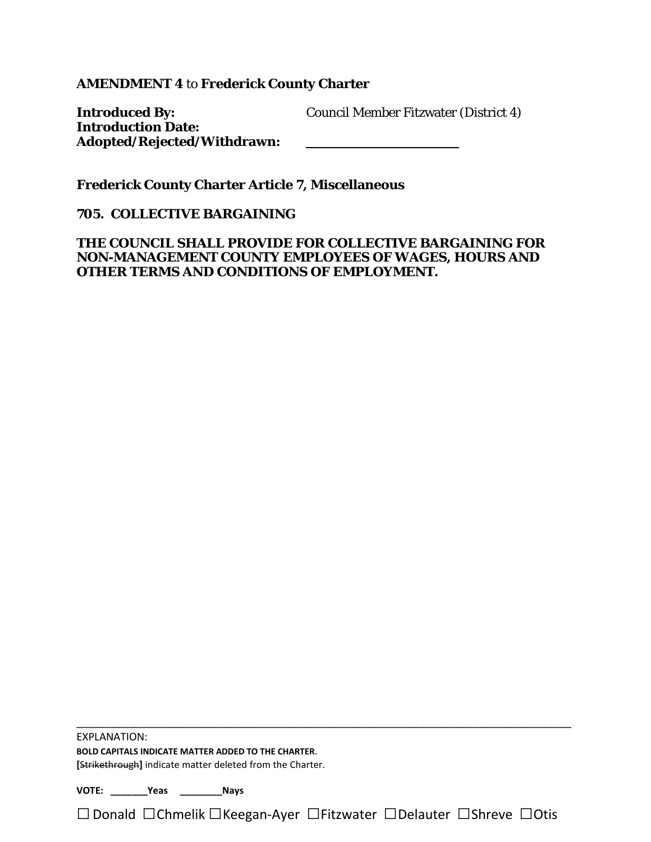**AMENDMENT 4** to **Frederick County Charter**

**Introduced By:** Council Member Fitzwater (District 4) **Introduction Date: Adopted/Rejected/Withdrawn:**

**Frederick County Charter Article 7, Miscellaneous**

**705. COLLECTIVE BARGAINING** 

**THE COUNCIL SHALL PROVIDE FOR COLLECTIVE BARGAINING FOR NON-MANAGEMENT COUNTY EMPLOYEES OF WAGES, HOURS AND OTHER TERMS AND CONDITIONS OF EMPLOYMENT.** 

EXPLANATION:

**BOLD CAPITALS INDICATE MATTER ADDED TO THE CHARTER**. **[**Strikethrough**]** indicate matter deleted from the Charter.

**VOTE: \_\_\_\_\_\_\_Yeas \_\_\_\_\_\_\_\_Nays**

□Donald □Chmelik □Keegan-Ayer □Fitzwater □Delauter □Shreve □Otis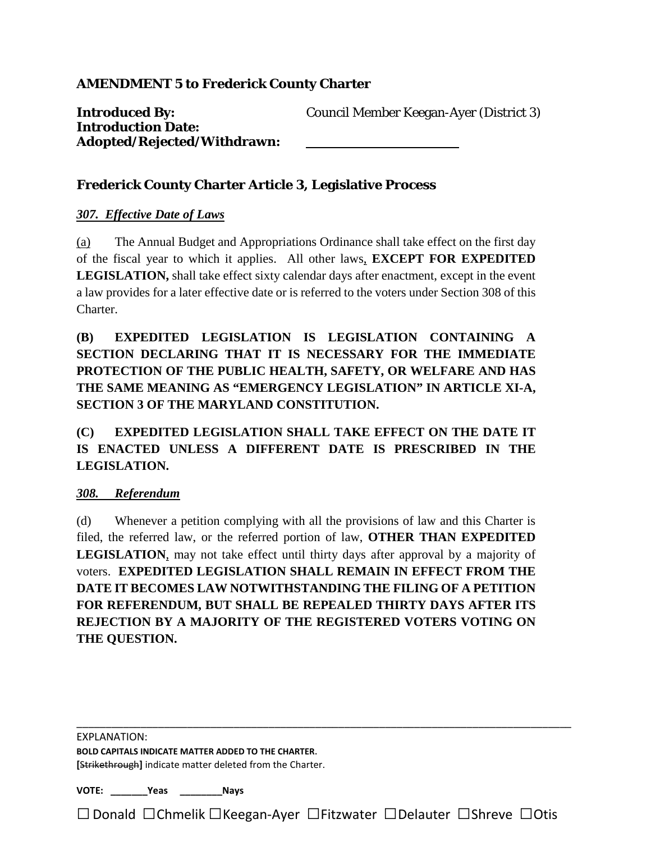**Introduced By:** Council Member Keegan-Ayer (District 3) **Introduction Date: Adopted/Rejected/Withdrawn:**

# **Frederick County Charter Article 3, Legislative Process**

#### *307. Effective Date of Laws*

(a) The Annual Budget and Appropriations Ordinance shall take effect on the first day of the fiscal year to which it applies. All other laws, **EXCEPT FOR EXPEDITED LEGISLATION,** shall take effect sixty calendar days after enactment, except in the event a law provides for a later effective date or is referred to the voters under Section 308 of this Charter.

**(B) EXPEDITED LEGISLATION IS LEGISLATION CONTAINING A SECTION DECLARING THAT IT IS NECESSARY FOR THE IMMEDIATE PROTECTION OF THE PUBLIC HEALTH, SAFETY, OR WELFARE AND HAS THE SAME MEANING AS "EMERGENCY LEGISLATION" IN ARTICLE XI-A, SECTION 3 OF THE MARYLAND CONSTITUTION.**

**(C) EXPEDITED LEGISLATION SHALL TAKE EFFECT ON THE DATE IT IS ENACTED UNLESS A DIFFERENT DATE IS PRESCRIBED IN THE LEGISLATION.**

#### *308. Referendum*

(d) Whenever a petition complying with all the provisions of law and this Charter is filed, the referred law, or the referred portion of law, **OTHER THAN EXPEDITED LEGISLATION**, may not take effect until thirty days after approval by a majority of voters. **EXPEDITED LEGISLATION SHALL REMAIN IN EFFECT FROM THE DATE IT BECOMES LAW NOTWITHSTANDING THE FILING OF A PETITION FOR REFERENDUM, BUT SHALL BE REPEALED THIRTY DAYS AFTER ITS REJECTION BY A MAJORITY OF THE REGISTERED VOTERS VOTING ON THE QUESTION.**

EXPLANATION:

**BOLD CAPITALS INDICATE MATTER ADDED TO THE CHARTER**. **[**Strikethrough**]** indicate matter deleted from the Charter.

**VOTE: \_\_\_\_\_\_\_Yeas \_\_\_\_\_\_\_\_Nays**

□Donald □Chmelik □Keegan-Ayer □Fitzwater □Delauter □Shreve □Otis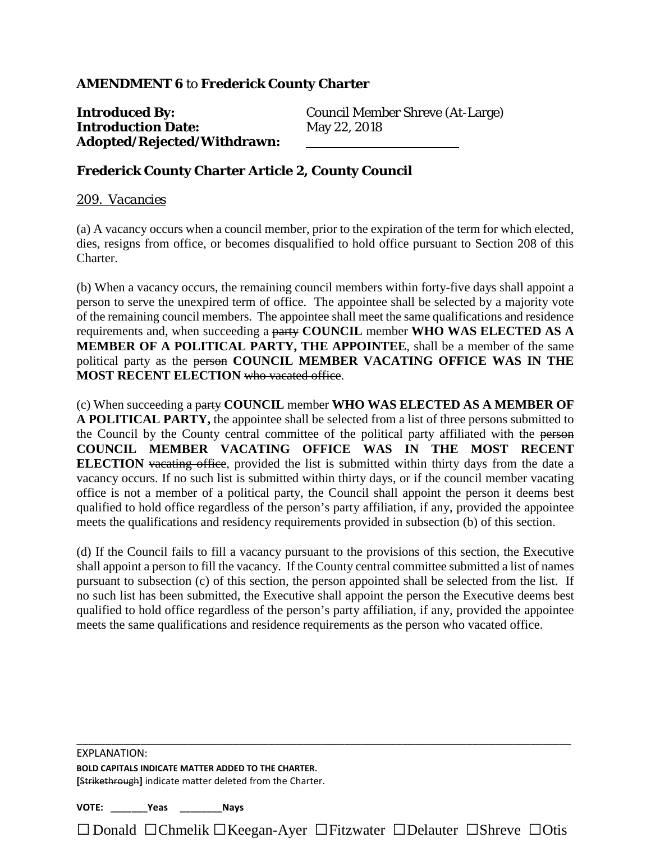## **AMENDMENT 6** to **Frederick County Charter**

**Introduced By:** Council Member Shreve (At-Large) **Introduction Date:** May 22, 2018 **Adopted/Rejected/Withdrawn:**

#### **Frederick County Charter Article 2, County Council**

#### *209. Vacancies*

(a) A vacancy occurs when a council member, prior to the expiration of the term for which elected, dies, resigns from office, or becomes disqualified to hold office pursuant to Section 208 of this Charter.

(b) When a vacancy occurs, the remaining council members within forty-five days shall appoint a person to serve the unexpired term of office. The appointee shall be selected by a majority vote of the remaining council members. The appointee shall meet the same qualifications and residence requirements and, when succeeding a party **COUNCIL** member **WHO WAS ELECTED AS A MEMBER OF A POLITICAL PARTY, THE APPOINTEE**, shall be a member of the same political party as the person **COUNCIL MEMBER VACATING OFFICE WAS IN THE MOST RECENT ELECTION** who vacated office.

(c) When succeeding a party **COUNCIL** member **WHO WAS ELECTED AS A MEMBER OF A POLITICAL PARTY,** the appointee shall be selected from a list of three persons submitted to the Council by the County central committee of the political party affiliated with the person **COUNCIL MEMBER VACATING OFFICE WAS IN THE MOST RECENT ELECTION** vacating office, provided the list is submitted within thirty days from the date a vacancy occurs. If no such list is submitted within thirty days, or if the council member vacating office is not a member of a political party, the Council shall appoint the person it deems best qualified to hold office regardless of the person's party affiliation, if any, provided the appointee meets the qualifications and residency requirements provided in subsection (b) of this section.

(d) If the Council fails to fill a vacancy pursuant to the provisions of this section, the Executive shall appoint a person to fill the vacancy. If the County central committee submitted a list of names pursuant to subsection (c) of this section, the person appointed shall be selected from the list. If no such list has been submitted, the Executive shall appoint the person the Executive deems best qualified to hold office regardless of the person's party affiliation, if any, provided the appointee meets the same qualifications and residence requirements as the person who vacated office.

\_\_\_\_\_\_\_\_\_\_\_\_\_\_\_\_\_\_\_\_\_\_\_\_\_\_\_\_\_\_\_\_\_\_\_\_\_\_\_\_\_\_\_\_\_\_\_\_\_\_\_\_\_\_\_\_\_\_\_\_\_\_\_\_\_\_\_\_\_\_\_\_\_\_\_\_\_\_\_\_\_\_\_\_\_

□ Donald □Chmelik □Keegan-Ayer □Fitzwater □Delauter □Shreve □Otis

**FXPLANATION: BOLD CAPITALS INDICATE MATTER ADDED TO THE CHARTER**. **[**Strikethrough**]** indicate matter deleted from the Charter.

**VOTE: \_\_\_\_\_\_\_Yeas \_\_\_\_\_\_\_\_Nays**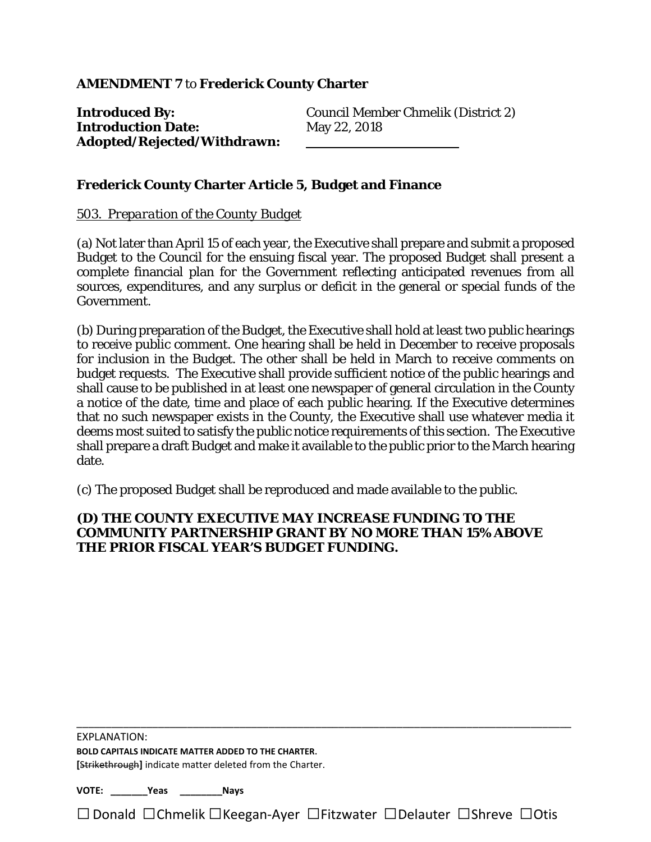**Introduction Date:** May 22, 2018 **Adopted/Rejected/Withdrawn:**

**Introduced By:** Council Member Chmelik (District 2)

## **Frederick County Charter Article 5, Budget and Finance**

#### *503. Preparation of the County Budget*

(a) Not later than April 15 of each year, the Executive shall prepare and submit a proposed Budget to the Council for the ensuing fiscal year. The proposed Budget shall present a complete financial plan for the Government reflecting anticipated revenues from all sources, expenditures, and any surplus or deficit in the general or special funds of the Government.

(b) During preparation of the Budget, the Executive shall hold at least two public hearings to receive public comment. One hearing shall be held in December to receive proposals for inclusion in the Budget. The other shall be held in March to receive comments on budget requests. The Executive shall provide sufficient notice of the public hearings and shall cause to be published in at least one newspaper of general circulation in the County a notice of the date, time and place of each public hearing. If the Executive determines that no such newspaper exists in the County, the Executive shall use whatever media it deems most suited to satisfy the public notice requirements of this section. The Executive shall prepare a draft Budget and make it available to the public prior to the March hearing date.

(c) The proposed Budget shall be reproduced and made available to the public.

#### **(D) THE COUNTY EXECUTIVE MAY INCREASE FUNDING TO THE COMMUNITY PARTNERSHIP GRANT BY NO MORE THAN 15% ABOVE THE PRIOR FISCAL YEAR'S BUDGET FUNDING.**

EXPLANATION:

**BOLD CAPITALS INDICATE MATTER ADDED TO THE CHARTER**. **[**Strikethrough**]** indicate matter deleted from the Charter.

**VOTE: \_\_\_\_\_\_\_Yeas \_\_\_\_\_\_\_\_Nays**

□Donald □Chmelik □Keegan-Ayer □Fitzwater □Delauter □Shreve □Otis